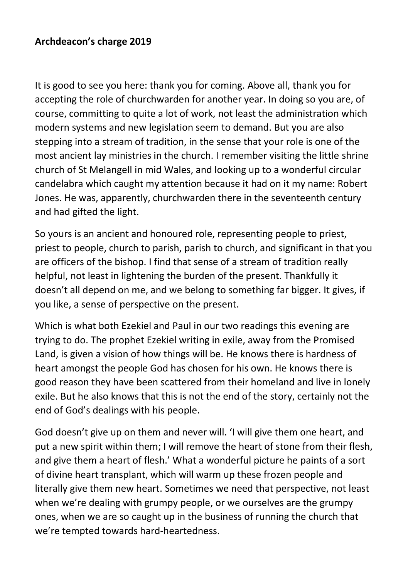## **Archdeacon's charge 2019**

It is good to see you here: thank you for coming. Above all, thank you for accepting the role of churchwarden for another year. In doing so you are, of course, committing to quite a lot of work, not least the administration which modern systems and new legislation seem to demand. But you are also stepping into a stream of tradition, in the sense that your role is one of the most ancient lay ministries in the church. I remember visiting the little shrine church of St Melangell in mid Wales, and looking up to a wonderful circular candelabra which caught my attention because it had on it my name: Robert Jones. He was, apparently, churchwarden there in the seventeenth century and had gifted the light.

So yours is an ancient and honoured role, representing people to priest, priest to people, church to parish, parish to church, and significant in that you are officers of the bishop. I find that sense of a stream of tradition really helpful, not least in lightening the burden of the present. Thankfully it doesn't all depend on me, and we belong to something far bigger. It gives, if you like, a sense of perspective on the present.

Which is what both Ezekiel and Paul in our two readings this evening are trying to do. The prophet Ezekiel writing in exile, away from the Promised Land, is given a vision of how things will be. He knows there is hardness of heart amongst the people God has chosen for his own. He knows there is good reason they have been scattered from their homeland and live in lonely exile. But he also knows that this is not the end of the story, certainly not the end of God's dealings with his people.

God doesn't give up on them and never will. 'I will give them one heart, and put a new spirit within them; I will remove the heart of stone from their flesh, and give them a heart of flesh.' What a wonderful picture he paints of a sort of divine heart transplant, which will warm up these frozen people and literally give them new heart. Sometimes we need that perspective, not least when we're dealing with grumpy people, or we ourselves are the grumpy ones, when we are so caught up in the business of running the church that we're tempted towards hard-heartedness.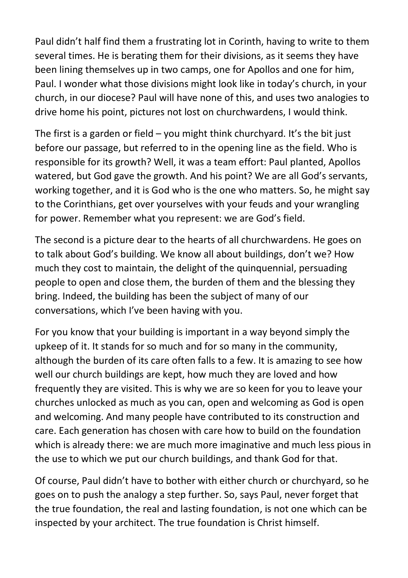Paul didn't half find them a frustrating lot in Corinth, having to write to them several times. He is berating them for their divisions, as it seems they have been lining themselves up in two camps, one for Apollos and one for him, Paul. I wonder what those divisions might look like in today's church, in your church, in our diocese? Paul will have none of this, and uses two analogies to drive home his point, pictures not lost on churchwardens, I would think.

The first is a garden or field – you might think churchyard. It's the bit just before our passage, but referred to in the opening line as the field. Who is responsible for its growth? Well, it was a team effort: Paul planted, Apollos watered, but God gave the growth. And his point? We are all God's servants, working together, and it is God who is the one who matters. So, he might say to the Corinthians, get over yourselves with your feuds and your wrangling for power. Remember what you represent: we are God's field.

The second is a picture dear to the hearts of all churchwardens. He goes on to talk about God's building. We know all about buildings, don't we? How much they cost to maintain, the delight of the quinquennial, persuading people to open and close them, the burden of them and the blessing they bring. Indeed, the building has been the subject of many of our conversations, which I've been having with you.

For you know that your building is important in a way beyond simply the upkeep of it. It stands for so much and for so many in the community, although the burden of its care often falls to a few. It is amazing to see how well our church buildings are kept, how much they are loved and how frequently they are visited. This is why we are so keen for you to leave your churches unlocked as much as you can, open and welcoming as God is open and welcoming. And many people have contributed to its construction and care. Each generation has chosen with care how to build on the foundation which is already there: we are much more imaginative and much less pious in the use to which we put our church buildings, and thank God for that.

Of course, Paul didn't have to bother with either church or churchyard, so he goes on to push the analogy a step further. So, says Paul, never forget that the true foundation, the real and lasting foundation, is not one which can be inspected by your architect. The true foundation is Christ himself.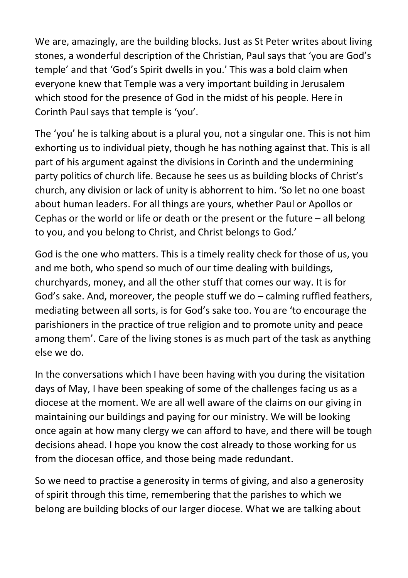We are, amazingly, are the building blocks. Just as St Peter writes about living stones, a wonderful description of the Christian, Paul says that 'you are God's temple' and that 'God's Spirit dwells in you.' This was a bold claim when everyone knew that Temple was a very important building in Jerusalem which stood for the presence of God in the midst of his people. Here in Corinth Paul says that temple is 'you'.

The 'you' he is talking about is a plural you, not a singular one. This is not him exhorting us to individual piety, though he has nothing against that. This is all part of his argument against the divisions in Corinth and the undermining party politics of church life. Because he sees us as building blocks of Christ's church, any division or lack of unity is abhorrent to him. 'So let no one boast about human leaders. For all things are yours, whether Paul or Apollos or Cephas or the world or life or death or the present or the future – all belong to you, and you belong to Christ, and Christ belongs to God.'

God is the one who matters. This is a timely reality check for those of us, you and me both, who spend so much of our time dealing with buildings, churchyards, money, and all the other stuff that comes our way. It is for God's sake. And, moreover, the people stuff we do – calming ruffled feathers, mediating between all sorts, is for God's sake too. You are 'to encourage the parishioners in the practice of true religion and to promote unity and peace among them'. Care of the living stones is as much part of the task as anything else we do.

In the conversations which I have been having with you during the visitation days of May, I have been speaking of some of the challenges facing us as a diocese at the moment. We are all well aware of the claims on our giving in maintaining our buildings and paying for our ministry. We will be looking once again at how many clergy we can afford to have, and there will be tough decisions ahead. I hope you know the cost already to those working for us from the diocesan office, and those being made redundant.

So we need to practise a generosity in terms of giving, and also a generosity of spirit through this time, remembering that the parishes to which we belong are building blocks of our larger diocese. What we are talking about